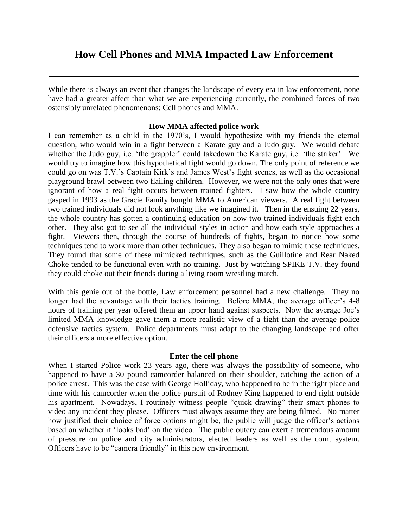## **How Cell Phones and MMA Impacted Law Enforcement**

While there is always an event that changes the landscape of every era in law enforcement, none have had a greater affect than what we are experiencing currently, the combined forces of two ostensibly unrelated phenomenons: Cell phones and MMA.

## **How MMA affected police work**

I can remember as a child in the 1970's, I would hypothesize with my friends the eternal question, who would win in a fight between a Karate guy and a Judo guy. We would debate whether the Judo guy, i.e. 'the grappler' could takedown the Karate guy, i.e. 'the striker'. We would try to imagine how this hypothetical fight would go down. The only point of reference we could go on was T.V.'s Captain Kirk's and James West's fight scenes, as well as the occasional playground brawl between two flailing children. However, we were not the only ones that were ignorant of how a real fight occurs between trained fighters. I saw how the whole country gasped in 1993 as the Gracie Family bought MMA to American viewers. A real fight between two trained individuals did not look anything like we imagined it. Then in the ensuing 22 years, the whole country has gotten a continuing education on how two trained individuals fight each other. They also got to see all the individual styles in action and how each style approaches a fight. Viewers then, through the course of hundreds of fights, began to notice how some techniques tend to work more than other techniques. They also began to mimic these techniques. They found that some of these mimicked techniques, such as the Guillotine and Rear Naked Choke tended to be functional even with no training. Just by watching SPIKE T.V. they found they could choke out their friends during a living room wrestling match.

With this genie out of the bottle, Law enforcement personnel had a new challenge. They no longer had the advantage with their tactics training. Before MMA, the average officer's 4-8 hours of training per year offered them an upper hand against suspects. Now the average Joe's limited MMA knowledge gave them a more realistic view of a fight than the average police defensive tactics system. Police departments must adapt to the changing landscape and offer their officers a more effective option.

## **Enter the cell phone**

When I started Police work 23 years ago, there was always the possibility of someone, who happened to have a 30 pound camcorder balanced on their shoulder, catching the action of a police arrest. This was the case with George Holliday, who happened to be in the right place and time with his camcorder when the police pursuit of Rodney King happened to end right outside his apartment. Nowadays, I routinely witness people "quick drawing" their smart phones to video any incident they please. Officers must always assume they are being filmed. No matter how justified their choice of force options might be, the public will judge the officer's actions based on whether it 'looks bad' on the video. The public outcry can exert a tremendous amount of pressure on police and city administrators, elected leaders as well as the court system. Officers have to be "camera friendly" in this new environment.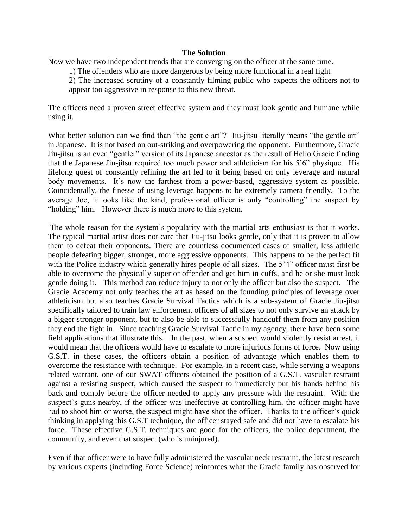## **The Solution**

Now we have two independent trends that are converging on the officer at the same time.

1) The offenders who are more dangerous by being more functional in a real fight

2) The increased scrutiny of a constantly filming public who expects the officers not to appear too aggressive in response to this new threat.

The officers need a proven street effective system and they must look gentle and humane while using it.

What better solution can we find than "the gentle art"? Jiu-jitsu literally means "the gentle art" in Japanese. It is not based on out-striking and overpowering the opponent. Furthermore, Gracie Jiu-jitsu is an even "gentler" version of its Japanese ancestor as the result of Helio Gracie finding that the Japanese Jiu-jitsu required too much power and athleticism for his 5'6" physique. His lifelong quest of constantly refining the art led to it being based on only leverage and natural body movements. It's now the farthest from a power-based, aggressive system as possible. Coincidentally, the finesse of using leverage happens to be extremely camera friendly. To the average Joe, it looks like the kind, professional officer is only "controlling" the suspect by "holding" him. However there is much more to this system.

The whole reason for the system's popularity with the martial arts enthusiast is that it works. The typical martial artist does not care that Jiu-jitsu looks gentle, only that it is proven to allow them to defeat their opponents. There are countless documented cases of smaller, less athletic people defeating bigger, stronger, more aggressive opponents. This happens to be the perfect fit with the Police industry which generally hires people of all sizes. The 5'4" officer must first be able to overcome the physically superior offender and get him in cuffs, and he or she must look gentle doing it. This method can reduce injury to not only the officer but also the suspect. The Gracie Academy not only teaches the art as based on the founding principles of leverage over athleticism but also teaches Gracie Survival Tactics which is a sub-system of Gracie Jiu-jitsu specifically tailored to train law enforcement officers of all sizes to not only survive an attack by a bigger stronger opponent, but to also be able to successfully handcuff them from any position they end the fight in. Since teaching Gracie Survival Tactic in my agency, there have been some field applications that illustrate this. In the past, when a suspect would violently resist arrest, it would mean that the officers would have to escalate to more injurious forms of force. Now using G.S.T. in these cases, the officers obtain a position of advantage which enables them to overcome the resistance with technique. For example, in a recent case, while serving a weapons related warrant, one of our SWAT officers obtained the position of a G.S.T. vascular restraint against a resisting suspect, which caused the suspect to immediately put his hands behind his back and comply before the officer needed to apply any pressure with the restraint. With the suspect's guns nearby, if the officer was ineffective at controlling him, the officer might have had to shoot him or worse, the suspect might have shot the officer. Thanks to the officer's quick thinking in applying this G.S.T technique, the officer stayed safe and did not have to escalate his force. These effective G.S.T. techniques are good for the officers, the police department, the community, and even that suspect (who is uninjured).

Even if that officer were to have fully administered the vascular neck restraint, the latest research by various experts (including Force Science) reinforces what the Gracie family has observed for